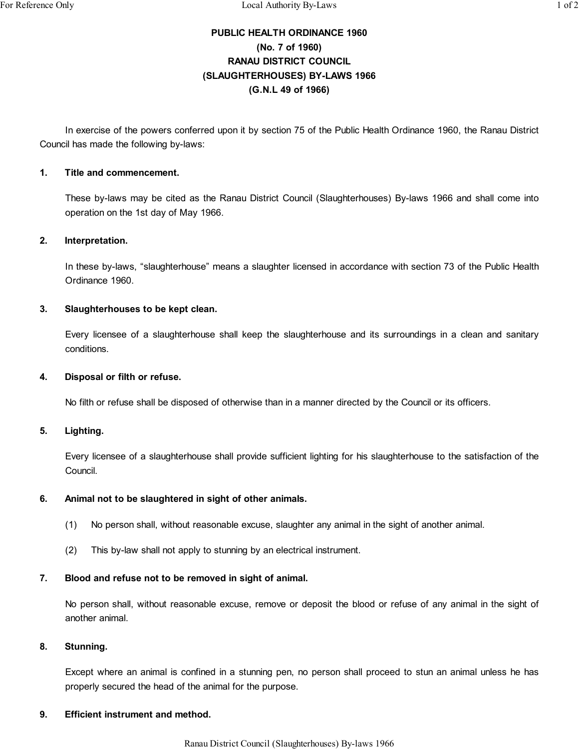# **PUBLIC HEALTH ORDINANCE 1960 (No. 7 of 1960) RANAU DISTRICT COUNCIL (SLAUGHTERHOUSES) BY-LAWS 1966 (G.N.L 49 of 1966)**

In exercise of the powers conferred upon it by section 75 of the Public Health Ordinance 1960, the Ranau District Council has made the following by-laws:

#### **1. Title and commencement.**

These by-laws may be cited as the Ranau District Council (Slaughterhouses) By-laws 1966 and shall come into operation on the 1st day of May 1966.

### **2. Interpretation.**

In these by-laws, "slaughterhouse" means a slaughter licensed in accordance with section 73 of the Public Health Ordinance 1960.

### **3. Slaughterhouses to be kept clean.**

Every licensee of a slaughterhouse shall keep the slaughterhouse and its surroundings in a clean and sanitary conditions.

#### **4. Disposal or filth or refuse.**

No filth or refuse shall be disposed of otherwise than in a manner directed by the Council or its officers.

#### **5. Lighting.**

Every licensee of a slaughterhouse shall provide sufficient lighting for his slaughterhouse to the satisfaction of the Council.

### **6. Animal not to be slaughtered in sight of other animals.**

- (1) No person shall, without reasonable excuse, slaughter any animal in the sight of another animal.
- (2) This by-law shall not apply to stunning by an electrical instrument.

# **7. Blood and refuse not to be removed in sight of animal.**

No person shall, without reasonable excuse, remove or deposit the blood or refuse of any animal in the sight of another animal.

# **8. Stunning.**

Except where an animal is confined in a stunning pen, no person shall proceed to stun an animal unless he has properly secured the head of the animal for the purpose.

### **9. Efficient instrument and method.**